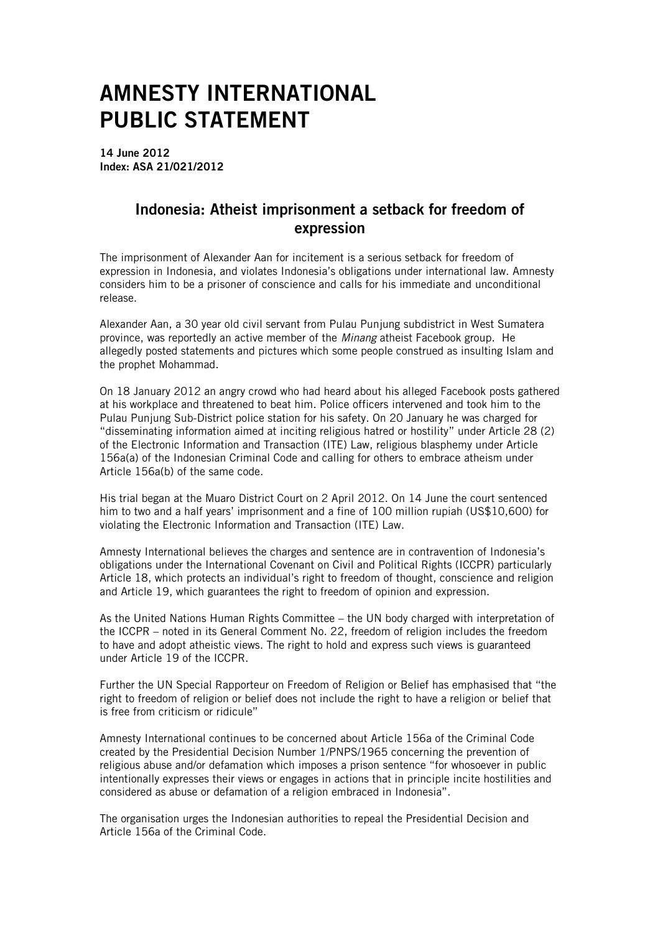## AMNESTY INTERNATIONAL PUBLIC STATEMENT

14 June 2012 Index: ASA 21/021/2012

## Indonesia: Atheist imprisonment a setback for freedom of expression

The imprisonment of Alexander Aan for incitement is a serious setback for freedom of expression in Indonesia, and violates Indonesia's obligations under international law. Amnesty considers him to be a prisoner of conscience and calls for his immediate and unconditional release.

Alexander Aan, a 30 year old civil servant from Pulau Punjung subdistrict in West Sumatera province, was reportedly an active member of the *Minang* atheist Facebook group. He allegedly posted statements and pictures which some people construed as insulting Islam and the prophet Mohammad.

On 18 January 2012 an angry crowd who had heard about his alleged Facebook posts gathered at his workplace and threatened to beat him. Police officers intervened and took him to the Pulau Punjung Sub-District police station for his safety. On 20 January he was charged for "disseminating information aimed at inciting religious hatred or hostility" under Article 28 (2) of the Electronic Information and Transaction (ITE) Law, religious blasphemy under Article 156a(a) of the Indonesian Criminal Code and calling for others to embrace atheism under Article 156a(b) of the same code.

His trial began at the Muaro District Court on 2 April 2012. On 14 June the court sentenced him to two and a half years' imprisonment and a fine of 100 million rupiah (US\$10,600) for violating the Electronic Information and Transaction (ITE) Law.

Amnesty International believes the charges and sentence are in contravention of Indonesia's obligations under the International Covenant on Civil and Political Rights (ICCPR) particularly Article 18, which protects an individual's right to freedom of thought, conscience and religion and Article 19, which guarantees the right to freedom of opinion and expression.

As the United Nations Human Rights Committee – the UN body charged with interpretation of the ICCPR – noted in its General Comment No. 22, freedom of religion includes the freedom to have and adopt atheistic views. The right to hold and express such views is guaranteed under Article 19 of the ICCPR.

Further the UN Special Rapporteur on Freedom of Religion or Belief has emphasised that "the right to freedom of religion or belief does not include the right to have a religion or belief that is free from criticism or ridicule"

Amnesty International continues to be concerned about Article 156a of the Criminal Code created by the Presidential Decision Number 1/PNPS/1965 concerning the prevention of religious abuse and/or defamation which imposes a prison sentence "for whosoever in public intentionally expresses their views or engages in actions that in principle incite hostilities and considered as abuse or defamation of a religion embraced in Indonesia".

The organisation urges the Indonesian authorities to repeal the Presidential Decision and Article 156a of the Criminal Code.